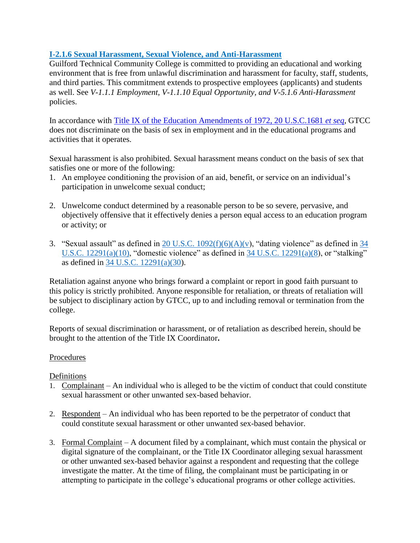# **I-2.1.6 Sexual Harassment, Sexual Violence, and Anti-Harassment**

Guilford Technical Community College is committed to providing an educational and working environment that is free from unlawful discrimination and harassment for faculty, staff, students, and third parties. This commitment extends to prospective employees (applicants) and students as well. See *V-1.1.1 Employment, V-1.1.10 Equal Opportunity, and V-5.1.6 Anti-Harassment*  policies.

In accordance with [Title IX of the Education Amendments of 1972, 20 U.S.C.1681](https://www.justice.gov/crt/title-ix-education-amendments-1972) *et seq,* GTCC does not discriminate on the basis of sex in employment and in the educational programs and activities that it operates.

Sexual harassment is also prohibited. Sexual harassment means conduct on the basis of sex that satisfies one or more of the following:

- 1. An employee conditioning the provision of an aid, benefit, or service on an individual's participation in unwelcome sexual conduct;
- 2. Unwelcome conduct determined by a reasonable person to be so severe, pervasive, and objectively offensive that it effectively denies a person equal access to an education program or activity; or
- 3. "Sexual assault" as defined in  $20$  U.S.C.  $1092(f)(6)(A)(v)$ , "dating violence" as defined in  $34$ U.S.C.  $12291(a)(10)$ , "domestic violence" as defined in 34 U.S.C.  $12291(a)(8)$ , or "stalking" as defined in [34 U.S.C. 12291\(a\)\(30\)](https://www.govinfo.gov/content/pkg/USCODE-2020-title34/pdf/USCODE-2020-title34-subtitleI-chap121-subchapIII-sec12291.pdf).

Retaliation against anyone who brings forward a complaint or report in good faith pursuant to this policy is strictly prohibited. Anyone responsible for retaliation, or threats of retaliation will be subject to disciplinary action by GTCC, up to and including removal or termination from the college.

Reports of sexual discrimination or harassment, or of retaliation as described herein, should be brought to the attention of the Title IX Coordinator**.**

# Procedures

### Definitions

- 1. Complainant An individual who is alleged to be the victim of conduct that could constitute sexual harassment or other unwanted sex-based behavior.
- 2. Respondent An individual who has been reported to be the perpetrator of conduct that could constitute sexual harassment or other unwanted sex-based behavior.
- 3. Formal Complaint A document filed by a complainant, which must contain the physical or digital signature of the complainant, or the Title IX Coordinator alleging sexual harassment or other unwanted sex-based behavior against a respondent and requesting that the college investigate the matter. At the time of filing, the complainant must be participating in or attempting to participate in the college's educational programs or other college activities.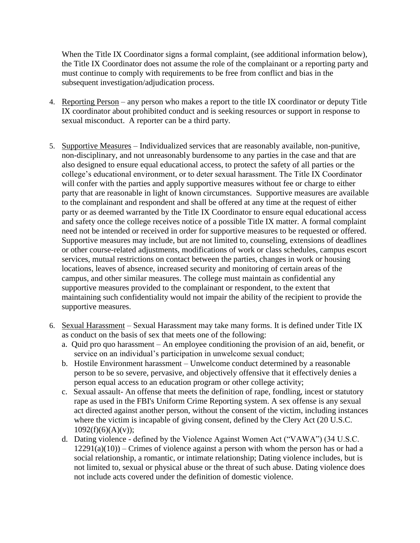When the Title IX Coordinator signs a formal complaint, (see additional information below), the Title IX Coordinator does not assume the role of the complainant or a reporting party and must continue to comply with requirements to be free from conflict and bias in the subsequent investigation/adjudication process.

- 4. Reporting Person any person who makes a report to the title IX coordinator or deputy Title IX coordinator about prohibited conduct and is seeking resources or support in response to sexual misconduct. A reporter can be a third party.
- 5. Supportive Measures Individualized services that are reasonably available, non-punitive, non-disciplinary, and not unreasonably burdensome to any parties in the case and that are also designed to ensure equal educational access, to protect the safety of all parties or the college's educational environment, or to deter sexual harassment. The Title IX Coordinator will confer with the parties and apply supportive measures without fee or charge to either party that are reasonable in light of known circumstances. Supportive measures are available to the complainant and respondent and shall be offered at any time at the request of either party or as deemed warranted by the Title IX Coordinator to ensure equal educational access and safety once the college receives notice of a possible Title IX matter. A formal complaint need not be intended or received in order for supportive measures to be requested or offered. Supportive measures may include, but are not limited to, counseling, extensions of deadlines or other course-related adjustments, modifications of work or class schedules, campus escort services, mutual restrictions on contact between the parties, changes in work or housing locations, leaves of absence, increased security and monitoring of certain areas of the campus, and other similar measures. The college must maintain as confidential any supportive measures provided to the complainant or respondent, to the extent that maintaining such confidentiality would not impair the ability of the recipient to provide the supportive measures.
- 6. Sexual Harassment Sexual Harassment may take many forms. It is defined under Title IX as conduct on the basis of sex that meets one of the following:
	- a. Quid pro quo harassment An employee conditioning the provision of an aid, benefit, or service on an individual's participation in unwelcome sexual conduct;
	- b. Hostile Environment harassment Unwelcome conduct determined by a reasonable person to be so severe, pervasive, and objectively offensive that it effectively denies a person equal access to an education program or other college activity;
	- c. Sexual assault- An offense that meets the definition of rape, fondling, incest or statutory rape as used in the FBI's Uniform Crime Reporting system. A sex offense is any sexual act directed against another person, without the consent of the victim, including instances where the victim is incapable of giving consent, defined by the Clery Act (20 U.S.C.  $1092(f)(6)(A)(v);$
	- d. Dating violence defined by the Violence Against Women Act ("VAWA") (34 U.S.C.  $12291(a)(10)$  – Crimes of violence against a person with whom the person has or had a social relationship, a romantic, or intimate relationship; Dating violence includes, but is not limited to, sexual or physical abuse or the threat of such abuse. Dating violence does not include acts covered under the definition of domestic violence.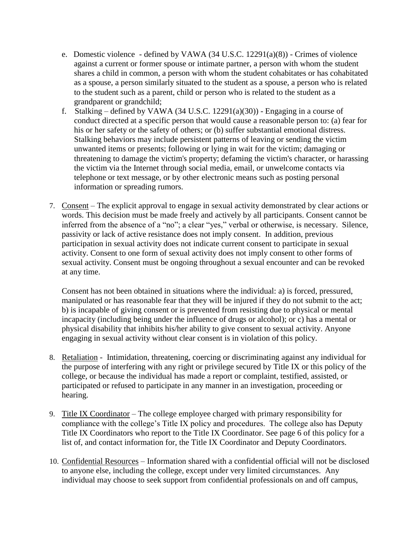- e. Domestic violence defined by VAWA (34 U.S.C. 12291(a)(8)) Crimes of violence against a current or former spouse or intimate partner, a person with whom the student shares a child in common, a person with whom the student cohabitates or has cohabitated as a spouse, a person similarly situated to the student as a spouse, a person who is related to the student such as a parent, child or person who is related to the student as a grandparent or grandchild;
- f. Stalking defined by VAWA (34 U.S.C. 12291(a)(30)) Engaging in a course of conduct directed at a specific person that would cause a reasonable person to: (a) fear for his or her safety or the safety of others; or (b) suffer substantial emotional distress. Stalking behaviors may include persistent patterns of leaving or sending the victim unwanted items or presents; following or lying in wait for the victim; damaging or threatening to damage the victim's property; defaming the victim's character, or harassing the victim via the Internet through social media, email, or unwelcome contacts via telephone or text message, or by other electronic means such as posting personal information or spreading rumors.
- 7. Consent The explicit approval to engage in sexual activity demonstrated by clear actions or words. This decision must be made freely and actively by all participants. Consent cannot be inferred from the absence of a "no"; a clear "yes," verbal or otherwise, is necessary. Silence, passivity or lack of active resistance does not imply consent. In addition, previous participation in sexual activity does not indicate current consent to participate in sexual activity. Consent to one form of sexual activity does not imply consent to other forms of sexual activity. Consent must be ongoing throughout a sexual encounter and can be revoked at any time.

Consent has not been obtained in situations where the individual: a) is forced, pressured, manipulated or has reasonable fear that they will be injured if they do not submit to the act; b) is incapable of giving consent or is prevented from resisting due to physical or mental incapacity (including being under the influence of drugs or alcohol); or c) has a mental or physical disability that inhibits his/her ability to give consent to sexual activity. Anyone engaging in sexual activity without clear consent is in violation of this policy.

- 8. Retaliation Intimidation, threatening, coercing or discriminating against any individual for the purpose of interfering with any right or privilege secured by Title IX or this policy of the college, or because the individual has made a report or complaint, testified, assisted, or participated or refused to participate in any manner in an investigation, proceeding or hearing.
- 9. Title IX Coordinator The college employee charged with primary responsibility for compliance with the college's Title IX policy and procedures. The college also has Deputy Title IX Coordinators who report to the Title IX Coordinator. See page 6 of this policy for a list of, and contact information for, the Title IX Coordinator and Deputy Coordinators.
- 10. Confidential Resources Information shared with a confidential official will not be disclosed to anyone else, including the college, except under very limited circumstances. Any individual may choose to seek support from confidential professionals on and off campus,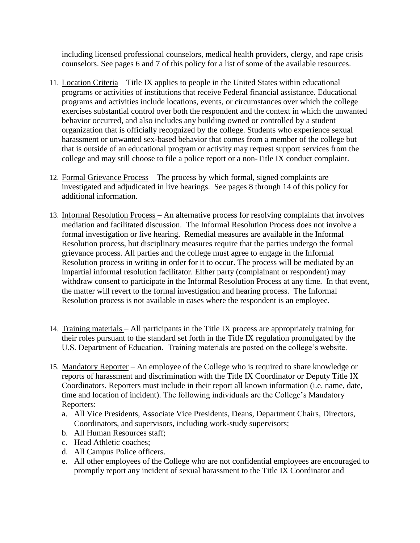including licensed professional counselors, medical health providers, clergy, and rape crisis counselors. See pages 6 and 7 of this policy for a list of some of the available resources.

- 11. Location Criteria Title IX applies to people in the United States within educational programs or activities of institutions that receive Federal financial assistance. Educational programs and activities include locations, events, or circumstances over which the college exercises substantial control over both the respondent and the context in which the unwanted behavior occurred, and also includes any building owned or controlled by a student organization that is officially recognized by the college. Students who experience sexual harassment or unwanted sex-based behavior that comes from a member of the college but that is outside of an educational program or activity may request support services from the college and may still choose to file a police report or a non-Title IX conduct complaint.
- 12. Formal Grievance Process The process by which formal, signed complaints are investigated and adjudicated in live hearings. See pages 8 through 14 of this policy for additional information.
- 13. Informal Resolution Process An alternative process for resolving complaints that involves mediation and facilitated discussion. The Informal Resolution Process does not involve a formal investigation or live hearing. Remedial measures are available in the Informal Resolution process, but disciplinary measures require that the parties undergo the formal grievance process. All parties and the college must agree to engage in the Informal Resolution process in writing in order for it to occur. The process will be mediated by an impartial informal resolution facilitator. Either party (complainant or respondent) may withdraw consent to participate in the Informal Resolution Process at any time. In that event, the matter will revert to the formal investigation and hearing process. The Informal Resolution process is not available in cases where the respondent is an employee.
- 14. Training materials All participants in the Title IX process are appropriately training for their roles pursuant to the standard set forth in the Title IX regulation promulgated by the U.S. Department of Education. Training materials are posted on the college's website.
- 15. Mandatory Reporter An employee of the College who is required to share knowledge or reports of harassment and discrimination with the Title IX Coordinator or Deputy Title IX Coordinators. Reporters must include in their report all known information (i.e. name, date, time and location of incident). The following individuals are the College's Mandatory Reporters:
	- a. All Vice Presidents, Associate Vice Presidents, Deans, Department Chairs, Directors, Coordinators, and supervisors, including work-study supervisors;
	- b. All Human Resources staff;
	- c. Head Athletic coaches;
	- d. All Campus Police officers.
	- e. All other employees of the College who are not confidential employees are encouraged to promptly report any incident of sexual harassment to the Title IX Coordinator and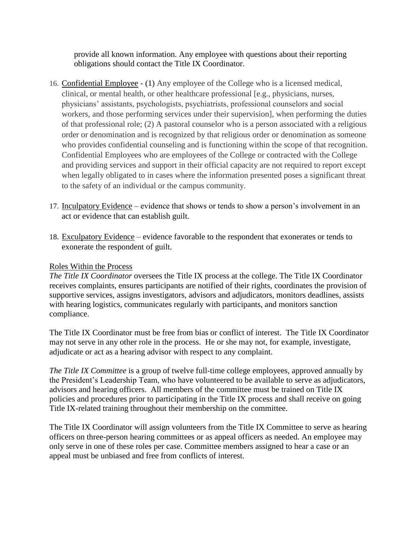provide all known information. Any employee with questions about their reporting obligations should contact the Title IX Coordinator.

- 16. Confidential Employee (1) Any employee of the College who is a licensed medical, clinical, or mental health, or other healthcare professional [e.g., physicians, nurses, physicians' assistants, psychologists, psychiatrists, professional counselors and social workers, and those performing services under their supervision], when performing the duties of that professional role; (2) A pastoral counselor who is a person associated with a religious order or denomination and is recognized by that religious order or denomination as someone who provides confidential counseling and is functioning within the scope of that recognition. Confidential Employees who are employees of the College or contracted with the College and providing services and support in their official capacity are not required to report except when legally obligated to in cases where the information presented poses a significant threat to the safety of an individual or the campus community.
- 17. Inculpatory Evidence evidence that shows or tends to show a person's involvement in an act or evidence that can establish guilt.
- 18. Exculpatory Evidence evidence favorable to the respondent that exonerates or tends to exonerate the respondent of guilt.

## Roles Within the Process

*The Title IX Coordinator* oversees the Title IX process at the college. The Title IX Coordinator receives complaints, ensures participants are notified of their rights, coordinates the provision of supportive services, assigns investigators, advisors and adjudicators, monitors deadlines, assists with hearing logistics, communicates regularly with participants, and monitors sanction compliance.

The Title IX Coordinator must be free from bias or conflict of interest. The Title IX Coordinator may not serve in any other role in the process. He or she may not, for example, investigate, adjudicate or act as a hearing advisor with respect to any complaint.

*The Title IX Committee* is a group of twelve full-time college employees, approved annually by the President's Leadership Team, who have volunteered to be available to serve as adjudicators, advisors and hearing officers. All members of the committee must be trained on Title IX policies and procedures prior to participating in the Title IX process and shall receive on going Title IX-related training throughout their membership on the committee.

The Title IX Coordinator will assign volunteers from the Title IX Committee to serve as hearing officers on three-person hearing committees or as appeal officers as needed. An employee may only serve in one of these roles per case. Committee members assigned to hear a case or an appeal must be unbiased and free from conflicts of interest.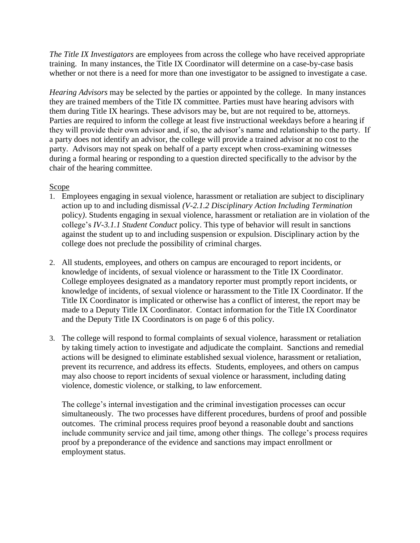*The Title IX Investigators* are employees from across the college who have received appropriate training. In many instances, the Title IX Coordinator will determine on a case-by-case basis whether or not there is a need for more than one investigator to be assigned to investigate a case.

*Hearing Advisors* may be selected by the parties or appointed by the college. In many instances they are trained members of the Title IX committee. Parties must have hearing advisors with them during Title IX hearings. These advisors may be, but are not required to be, attorneys. Parties are required to inform the college at least five instructional weekdays before a hearing if they will provide their own advisor and, if so, the advisor's name and relationship to the party. If a party does not identify an advisor, the college will provide a trained advisor at no cost to the party. Advisors may not speak on behalf of a party except when cross-examining witnesses during a formal hearing or responding to a question directed specifically to the advisor by the chair of the hearing committee.

# Scope

- 1. Employees engaging in sexual violence, harassment or retaliation are subject to disciplinary action up to and including dismissal *(V-2.1.2 Disciplinary Action Including Termination* policy*)*. Students engaging in sexual violence, harassment or retaliation are in violation of the college's *IV-3.1.1 Student Conduct* policy. This type of behavior will result in sanctions against the student up to and including suspension or expulsion. Disciplinary action by the college does not preclude the possibility of criminal charges.
- 2. All students, employees, and others on campus are encouraged to report incidents, or knowledge of incidents, of sexual violence or harassment to the Title IX Coordinator. College employees designated as a mandatory reporter must promptly report incidents, or knowledge of incidents, of sexual violence or harassment to the Title IX Coordinator. If the Title IX Coordinator is implicated or otherwise has a conflict of interest, the report may be made to a Deputy Title IX Coordinator. Contact information for the Title IX Coordinator and the Deputy Title IX Coordinators is on page 6 of this policy.
- 3. The college will respond to formal complaints of sexual violence, harassment or retaliation by taking timely action to investigate and adjudicate the complaint. Sanctions and remedial actions will be designed to eliminate established sexual violence, harassment or retaliation, prevent its recurrence, and address its effects. Students, employees, and others on campus may also choose to report incidents of sexual violence or harassment, including dating violence, domestic violence, or stalking, to law enforcement.

The college's internal investigation and the criminal investigation processes can occur simultaneously. The two processes have different procedures, burdens of proof and possible outcomes. The criminal process requires proof beyond a reasonable doubt and sanctions include community service and jail time, among other things. The college's process requires proof by a preponderance of the evidence and sanctions may impact enrollment or employment status.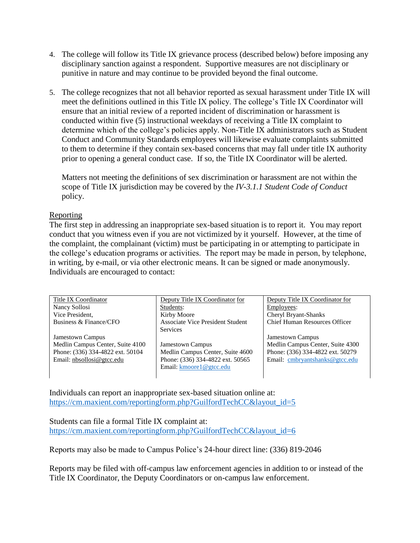- 4. The college will follow its Title IX grievance process (described below) before imposing any disciplinary sanction against a respondent. Supportive measures are not disciplinary or punitive in nature and may continue to be provided beyond the final outcome.
- 5. The college recognizes that not all behavior reported as sexual harassment under Title IX will meet the definitions outlined in this Title IX policy. The college's Title IX Coordinator will ensure that an initial review of a reported incident of discrimination or harassment is conducted within five (5) instructional weekdays of receiving a Title IX complaint to determine which of the college's policies apply. Non-Title IX administrators such as Student Conduct and Community Standards employees will likewise evaluate complaints submitted to them to determine if they contain sex-based concerns that may fall under title IX authority prior to opening a general conduct case. If so, the Title IX Coordinator will be alerted.

Matters not meeting the definitions of sex discrimination or harassment are not within the scope of Title IX jurisdiction may be covered by the *IV-3.1.1 Student Code of Conduct* policy.

## Reporting

The first step in addressing an inappropriate sex-based situation is to report it. You may report conduct that you witness even if you are not victimized by it yourself. However, at the time of the complaint, the complainant (victim) must be participating in or attempting to participate in the college's education programs or activities. The report may be made in person, by telephone, in writing, by e-mail, or via other electronic means. It can be signed or made anonymously. Individuals are encouraged to contact:

| Title IX Coordinator             | Deputy Title IX Coordinator for         | Deputy Title IX Coordinator for      |
|----------------------------------|-----------------------------------------|--------------------------------------|
| Nancy Sollosi                    | Students:                               | Employees:                           |
| Vice President,                  | Kirby Moore                             | Cheryl Bryant-Shanks                 |
| Business & Finance/CFO           | <b>Associate Vice President Student</b> | <b>Chief Human Resources Officer</b> |
|                                  | <b>Services</b>                         |                                      |
| <b>Jamestown Campus</b>          |                                         | <b>Jamestown Campus</b>              |
| Medlin Campus Center, Suite 4100 | <b>Jamestown Campus</b>                 | Medlin Campus Center, Suite 4300     |
| Phone: (336) 334-4822 ext. 50104 | Medlin Campus Center, Suite 4600        | Phone: (336) 334-4822 ext. 50279     |
| Email: nbsollosi@gtcc.edu        | Phone: (336) 334-4822 ext. 50565        | Email: cmbryantshanks@gtcc.edu       |
|                                  | Email: kmoore1@gtcc.edu                 |                                      |
|                                  |                                         |                                      |

Individuals can report an inappropriate sex-based situation online at: [https://cm.maxient.com/reportingform.php?GuilfordTechCC&layout\\_id=5](https://cm.maxient.com/reportingform.php?GuilfordTechCC&layout_id=5)

Students can file a formal Title IX complaint at: [https://cm.maxient.com/reportingform.php?GuilfordTechCC&layout\\_id=6](https://cm.maxient.com/reportingform.php?GuilfordTechCC&layout_id=6)

Reports may also be made to Campus Police's 24-hour direct line: (336) 819-2046

Reports may be filed with off-campus law enforcement agencies in addition to or instead of the Title IX Coordinator, the Deputy Coordinators or on-campus law enforcement.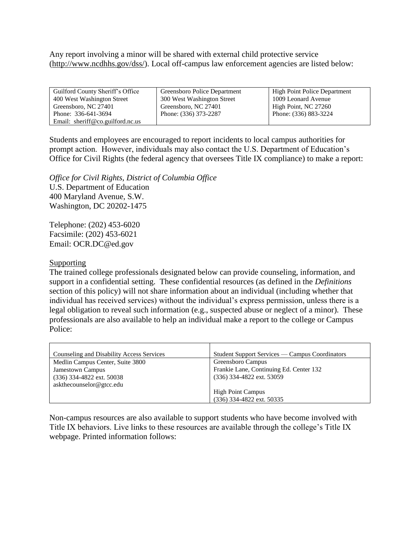Any report involving a minor will be shared with external child protective service [\(http://www.ncdhhs.gov/dss/\)](http://www.ncdhhs.gov/dss/). Local off-campus law enforcement agencies are listed below:

| Guilford County Sheriff's Office | Greensboro Police Department | <b>High Point Police Department</b> |
|----------------------------------|------------------------------|-------------------------------------|
| 400 West Washington Street       | 300 West Washington Street   | 1009 Leonard Avenue                 |
| Greensboro, NC 27401             | Greensboro, NC 27401         | High Point, NC 27260                |
| Phone: 336-641-3694              | Phone: (336) 373-2287        | Phone: (336) 883-3224               |
| Email: sheriff@co.guilford.nc.us |                              |                                     |

Students and employees are encouraged to report incidents to local campus authorities for prompt action. However, individuals may also contact the U.S. Department of Education's Office for Civil Rights (the federal agency that oversees Title IX compliance) to make a report:

*Office for Civil Rights, District of Columbia Office* U.S. Department of Education 400 Maryland Avenue, S.W. Washington, DC 20202-1475

Telephone: (202) 453-6020 Facsimile: (202) 453-6021 [Email: OCR.DC@ed.gov](mailto:OCR.DC@ed.gov)

#### Supporting

The trained college professionals designated below can provide counseling, information, and support in a confidential setting. These confidential resources (as defined in the *Definitions* section of this policy) will not share information about an individual (including whether that individual has received services) without the individual's express permission, unless there is a legal obligation to reveal such information (e.g., suspected abuse or neglect of a minor). These professionals are also available to help an individual make a report to the college or Campus Police:

| Counseling and Disability Access Services | Student Support Services — Campus Coordinators |
|-------------------------------------------|------------------------------------------------|
| Medlin Campus Center, Suite 3800          | Greensboro Campus                              |
| Jamestown Campus                          | Frankie Lane, Continuing Ed. Center 132        |
| $(336)$ 334-4822 ext. 50038               | (336) 334-4822 ext. 53059                      |
| askthecounselor@gtcc.edu                  |                                                |
|                                           | <b>High Point Campus</b>                       |
|                                           | (336) 334-4822 ext. 50335                      |

Non-campus resources are also available to support students who have become involved with Title IX behaviors. Live links to these resources are available through the college's Title IX webpage. Printed information follows: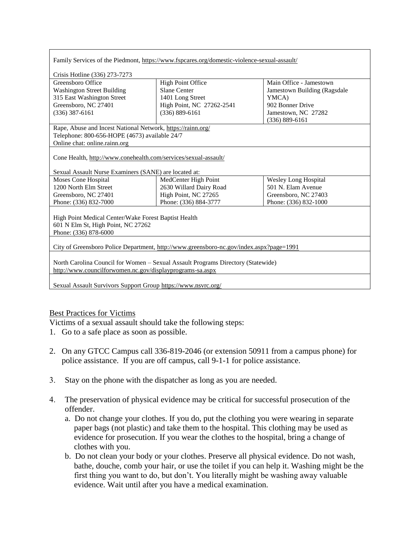| Family Services of the Piedmont, https://www.fspcares.org/domestic-violence-sexual-assault/ |                           |                              |  |  |
|---------------------------------------------------------------------------------------------|---------------------------|------------------------------|--|--|
|                                                                                             |                           |                              |  |  |
| Crisis Hotline (336) 273-7273                                                               |                           |                              |  |  |
| Greensboro Office                                                                           | <b>High Point Office</b>  | Main Office - Jamestown      |  |  |
| <b>Washington Street Building</b>                                                           | <b>Slane Center</b>       | Jamestown Building (Ragsdale |  |  |
| 315 East Washington Street                                                                  | 1401 Long Street          | YMCA)                        |  |  |
| Greensboro, NC 27401                                                                        | High Point, NC 27262-2541 | 902 Bonner Drive             |  |  |
| $(336)$ 387-6161                                                                            | $(336) 889 - 6161$        | Jamestown, NC 27282          |  |  |
|                                                                                             |                           | $(336) 889 - 6161$           |  |  |
| Rape, Abuse and Incest National Network, https://rainn.org/                                 |                           |                              |  |  |
| Telephone: 800-656-HOPE (4673) available 24/7                                               |                           |                              |  |  |
| Online chat: online.rainn.org                                                               |                           |                              |  |  |
|                                                                                             |                           |                              |  |  |
| Cone Health, http://www.conehealth.com/services/sexual-assault/                             |                           |                              |  |  |
| Sexual Assault Nurse Examiners (SANE) are located at:                                       |                           |                              |  |  |
| Moses Cone Hospital                                                                         | MedCenter High Point      | <b>Wesley Long Hospital</b>  |  |  |
| 1200 North Elm Street                                                                       | 2630 Willard Dairy Road   | 501 N. Elam Avenue           |  |  |
| Greensboro, NC 27401                                                                        | High Point, NC 27265      | Greensboro, NC 27403         |  |  |
| Phone: (336) 832-7000                                                                       | Phone: (336) 884-3777     | Phone: (336) 832-1000        |  |  |
|                                                                                             |                           |                              |  |  |
| High Point Medical Center/Wake Forest Baptist Health                                        |                           |                              |  |  |
| 601 N Elm St, High Point, NC 27262                                                          |                           |                              |  |  |
| Phone: (336) 878-6000                                                                       |                           |                              |  |  |
|                                                                                             |                           |                              |  |  |
| City of Greensboro Police Department, http://www.greensboro-nc.gov/index.aspx?page=1991     |                           |                              |  |  |
|                                                                                             |                           |                              |  |  |
| North Carolina Council for Women - Sexual Assault Programs Directory (Statewide)            |                           |                              |  |  |
| http://www.councilforwomen.nc.gov/displayprograms-sa.aspx                                   |                           |                              |  |  |
|                                                                                             |                           |                              |  |  |
| Sexual Assault Survivors Support Group https://www.nsvrc.org/                               |                           |                              |  |  |

# Best Practices for Victims

Victims of a sexual assault should take the following steps:

- 1. Go to a safe place as soon as possible.
- 2. On any GTCC Campus call 336-819-2046 (or extension 50911 from a campus phone) for police assistance. If you are off campus, call 9-1-1 for police assistance.
- Stay on the phone with the dispatcher as long as you are needed.
- The preservation of physical evidence may be critical for successful prosecution of the offender.
	- a. Do not change your clothes. If you do, put the clothing you were wearing in separate paper bags (not plastic) and take them to the hospital. This clothing may be used as evidence for prosecution. If you wear the clothes to the hospital, bring a change of clothes with you.
	- b. Do not clean your body or your clothes. Preserve all physical evidence. Do not wash, bathe, douche, comb your hair, or use the toilet if you can help it. Washing might be the first thing you want to do, but don't. You literally might be washing away valuable evidence. Wait until after you have a medical examination.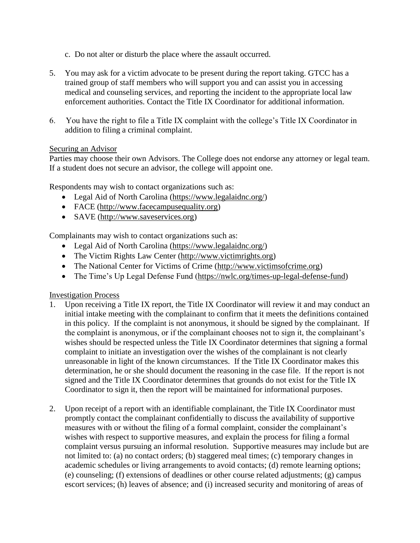- c. Do not alter or disturb the place where the assault occurred.
- 5. You may ask for a victim advocate to be present during the report taking. GTCC has a trained group of staff members who will support you and can assist you in accessing medical and counseling services, and reporting the incident to the appropriate local law enforcement authorities. Contact the Title IX Coordinator for additional information.
- 6. You have the right to file a Title IX complaint with the college's Title IX Coordinator in addition to filing a criminal complaint.

### Securing an Advisor

Parties may choose their own Advisors. The College does not endorse any attorney or legal team. If a student does not secure an advisor, the college will appoint one.

Respondents may wish to contact organizations such as:

- Legal Aid of North Carolina [\(https://www.legalaidnc.org/\)](https://www.legalaidnc.org/)
- FACE [\(http://www.facecampusequality.org\)](http://www.facecampusequality.org/)
- SAVE [\(http://www.saveservices.org\)](http://www.saveservices.org/)

Complainants may wish to contact organizations such as:

- Legal Aid of North Carolina [\(https://www.legalaidnc.org/\)](https://www.legalaidnc.org/)
- The Victim Rights Law Center [\(http://www.victimrights.org\)](http://www.victimrights.org/)
- The National Center for Victims of Crime [\(http://www.victimsofcrime.org\)](http://www.victimsofcrime.org/)
- The Time's Up Legal Defense Fund [\(https://nwlc.org/times-up-legal-defense-fund\)](https://nwlc.org/times-up-legal-defense-fund)

Investigation Process

- 1. Upon receiving a Title IX report, the Title IX Coordinator will review it and may conduct an initial intake meeting with the complainant to confirm that it meets the definitions contained in this policy. If the complaint is not anonymous, it should be signed by the complainant. If the complaint is anonymous, or if the complainant chooses not to sign it, the complainant's wishes should be respected unless the Title IX Coordinator determines that signing a formal complaint to initiate an investigation over the wishes of the complainant is not clearly unreasonable in light of the known circumstances. If the Title IX Coordinator makes this determination, he or she should document the reasoning in the case file. If the report is not signed and the Title IX Coordinator determines that grounds do not exist for the Title IX Coordinator to sign it, then the report will be maintained for informational purposes.
- 2. Upon receipt of a report with an identifiable complainant, the Title IX Coordinator must promptly contact the complainant confidentially to discuss the availability of supportive measures with or without the filing of a formal complaint, consider the complainant's wishes with respect to supportive measures, and explain the process for filing a formal complaint versus pursuing an informal resolution. Supportive measures may include but are not limited to: (a) no contact orders; (b) staggered meal times; (c) temporary changes in academic schedules or living arrangements to avoid contacts; (d) remote learning options; (e) counseling; (f) extensions of deadlines or other course related adjustments; (g) campus escort services; (h) leaves of absence; and (i) increased security and monitoring of areas of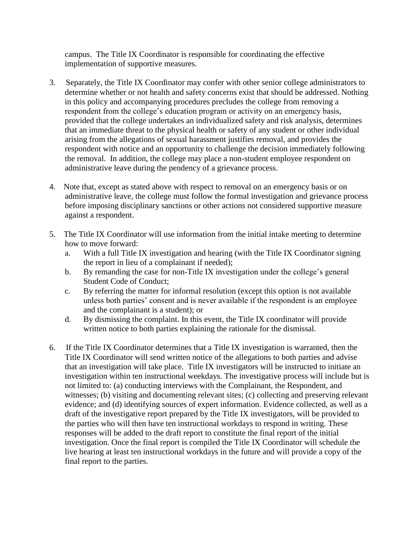campus. The Title IX Coordinator is responsible for coordinating the effective implementation of supportive measures.

- 3. Separately, the Title IX Coordinator may confer with other senior college administrators to determine whether or not health and safety concerns exist that should be addressed. Nothing in this policy and accompanying procedures precludes the college from removing a respondent from the college's education program or activity on an emergency basis, provided that the college undertakes an individualized safety and risk analysis, determines that an immediate threat to the physical health or safety of any student or other individual arising from the allegations of sexual harassment justifies removal, and provides the respondent with notice and an opportunity to challenge the decision immediately following the removal. In addition, the college may place a non-student employee respondent on administrative leave during the pendency of a grievance process.
- 4. Note that, except as stated above with respect to removal on an emergency basis or on administrative leave, the college must follow the formal investigation and grievance process before imposing disciplinary sanctions or other actions not considered supportive measure against a respondent.
- 5. The Title IX Coordinator will use information from the initial intake meeting to determine how to move forward:
	- a. With a full Title IX investigation and hearing (with the Title IX Coordinator signing the report in lieu of a complainant if needed);
	- b. By remanding the case for non-Title IX investigation under the college's general Student Code of Conduct;
	- c. By referring the matter for informal resolution (except this option is not available unless both parties' consent and is never available if the respondent is an employee and the complainant is a student); or
	- d. By dismissing the complaint. In this event, the Title IX coordinator will provide written notice to both parties explaining the rationale for the dismissal.
- 6. If the Title IX Coordinator determines that a Title IX investigation is warranted, then the Title IX Coordinator will send written notice of the allegations to both parties and advise that an investigation will take place. Title IX investigators will be instructed to initiate an investigation within ten instructional weekdays. The investigative process will include but is not limited to: (a) conducting interviews with the Complainant, the Respondent, and witnesses; (b) visiting and documenting relevant sites; (c) collecting and preserving relevant evidence; and (d) identifying sources of expert information. Evidence collected, as well as a draft of the investigative report prepared by the Title IX investigators, will be provided to the parties who will then have ten instructional workdays to respond in writing. These responses will be added to the draft report to constitute the final report of the initial investigation. Once the final report is compiled the Title IX Coordinator will schedule the live hearing at least ten instructional workdays in the future and will provide a copy of the final report to the parties.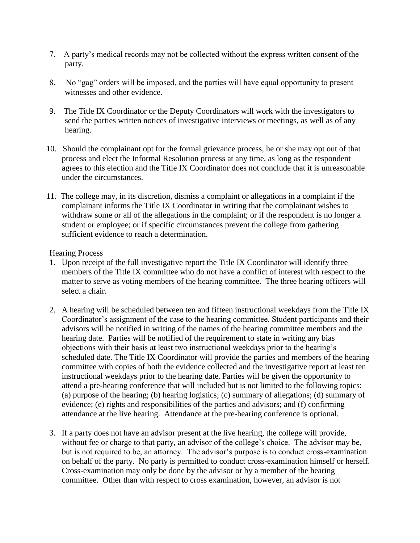- 7. A party's medical records may not be collected without the express written consent of the party.
- 8. No "gag" orders will be imposed, and the parties will have equal opportunity to present witnesses and other evidence.
- 9. The Title IX Coordinator or the Deputy Coordinators will work with the investigators to send the parties written notices of investigative interviews or meetings, as well as of any hearing.
- 10. Should the complainant opt for the formal grievance process, he or she may opt out of that process and elect the Informal Resolution process at any time, as long as the respondent agrees to this election and the Title IX Coordinator does not conclude that it is unreasonable under the circumstances.
- 11. The college may, in its discretion, dismiss a complaint or allegations in a complaint if the complainant informs the Title IX Coordinator in writing that the complainant wishes to withdraw some or all of the allegations in the complaint; or if the respondent is no longer a student or employee; or if specific circumstances prevent the college from gathering sufficient evidence to reach a determination.

### Hearing Process

- 1. Upon receipt of the full investigative report the Title IX Coordinator will identify three members of the Title IX committee who do not have a conflict of interest with respect to the matter to serve as voting members of the hearing committee. The three hearing officers will select a chair.
- 2. A hearing will be scheduled between ten and fifteen instructional weekdays from the Title IX Coordinator's assignment of the case to the hearing committee. Student participants and their advisors will be notified in writing of the names of the hearing committee members and the hearing date. Parties will be notified of the requirement to state in writing any bias objections with their basis at least two instructional weekdays prior to the hearing's scheduled date. The Title IX Coordinator will provide the parties and members of the hearing committee with copies of both the evidence collected and the investigative report at least ten instructional weekdays prior to the hearing date. Parties will be given the opportunity to attend a pre-hearing conference that will included but is not limited to the following topics: (a) purpose of the hearing; (b) hearing logistics; (c) summary of allegations; (d) summary of evidence; (e) rights and responsibilities of the parties and advisors; and (f) confirming attendance at the live hearing. Attendance at the pre-hearing conference is optional.
- 3. If a party does not have an advisor present at the live hearing, the college will provide, without fee or charge to that party, an advisor of the college's choice. The advisor may be, but is not required to be, an attorney. The advisor's purpose is to conduct cross-examination on behalf of the party. No party is permitted to conduct cross-examination himself or herself. Cross-examination may only be done by the advisor or by a member of the hearing committee. Other than with respect to cross examination, however, an advisor is not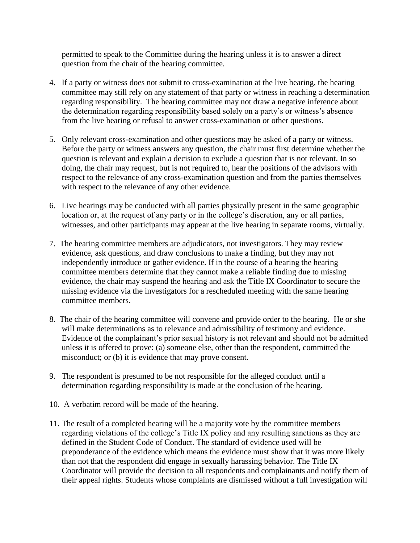permitted to speak to the Committee during the hearing unless it is to answer a direct question from the chair of the hearing committee.

- 4. If a party or witness does not submit to cross-examination at the live hearing, the hearing committee may still rely on any statement of that party or witness in reaching a determination regarding responsibility. The hearing committee may not draw a negative inference about the determination regarding responsibility based solely on a party's or witness's absence from the live hearing or refusal to answer cross-examination or other questions.
- 5. Only relevant cross-examination and other questions may be asked of a party or witness. Before the party or witness answers any question, the chair must first determine whether the question is relevant and explain a decision to exclude a question that is not relevant. In so doing, the chair may request, but is not required to, hear the positions of the advisors with respect to the relevance of any cross-examination question and from the parties themselves with respect to the relevance of any other evidence.
- 6. Live hearings may be conducted with all parties physically present in the same geographic location or, at the request of any party or in the college's discretion, any or all parties, witnesses, and other participants may appear at the live hearing in separate rooms, virtually.
- 7. The hearing committee members are adjudicators, not investigators. They may review evidence, ask questions, and draw conclusions to make a finding, but they may not independently introduce or gather evidence. If in the course of a hearing the hearing committee members determine that they cannot make a reliable finding due to missing evidence, the chair may suspend the hearing and ask the Title IX Coordinator to secure the missing evidence via the investigators for a rescheduled meeting with the same hearing committee members.
- 8. The chair of the hearing committee will convene and provide order to the hearing. He or she will make determinations as to relevance and admissibility of testimony and evidence. Evidence of the complainant's prior sexual history is not relevant and should not be admitted unless it is offered to prove: (a) someone else, other than the respondent, committed the misconduct; or (b) it is evidence that may prove consent.
- 9. The respondent is presumed to be not responsible for the alleged conduct until a determination regarding responsibility is made at the conclusion of the hearing.
- 10. A verbatim record will be made of the hearing.
- 11. The result of a completed hearing will be a majority vote by the committee members regarding violations of the college's Title IX policy and any resulting sanctions as they are defined in the Student Code of Conduct. The standard of evidence used will be preponderance of the evidence which means the evidence must show that it was more likely than not that the respondent did engage in sexually harassing behavior. The Title IX Coordinator will provide the decision to all respondents and complainants and notify them of their appeal rights. Students whose complaints are dismissed without a full investigation will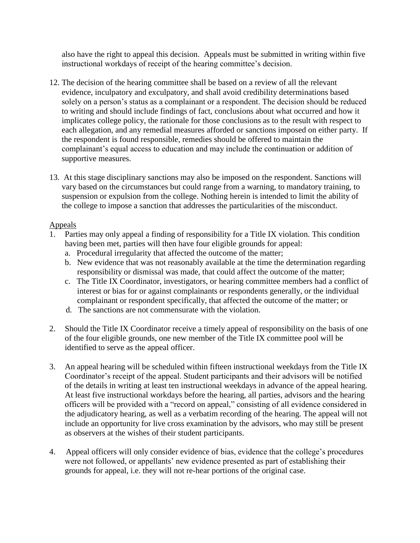also have the right to appeal this decision. Appeals must be submitted in writing within five instructional workdays of receipt of the hearing committee's decision.

- 12. The decision of the hearing committee shall be based on a review of all the relevant evidence, inculpatory and exculpatory, and shall avoid credibility determinations based solely on a person's status as a complainant or a respondent. The decision should be reduced to writing and should include findings of fact, conclusions about what occurred and how it implicates college policy, the rationale for those conclusions as to the result with respect to each allegation, and any remedial measures afforded or sanctions imposed on either party. If the respondent is found responsible, remedies should be offered to maintain the complainant's equal access to education and may include the continuation or addition of supportive measures.
- 13. At this stage disciplinary sanctions may also be imposed on the respondent. Sanctions will vary based on the circumstances but could range from a warning, to mandatory training, to suspension or expulsion from the college. Nothing herein is intended to limit the ability of the college to impose a sanction that addresses the particularities of the misconduct.

## Appeals

- 1. Parties may only appeal a finding of responsibility for a Title IX violation. This condition having been met, parties will then have four eligible grounds for appeal:
	- a. Procedural irregularity that affected the outcome of the matter;
	- b. New evidence that was not reasonably available at the time the determination regarding responsibility or dismissal was made, that could affect the outcome of the matter;
	- c. The Title IX Coordinator, investigators, or hearing committee members had a conflict of interest or bias for or against complainants or respondents generally, or the individual complainant or respondent specifically, that affected the outcome of the matter; or
	- d. The sanctions are not commensurate with the violation.
- 2. Should the Title IX Coordinator receive a timely appeal of responsibility on the basis of one of the four eligible grounds, one new member of the Title IX committee pool will be identified to serve as the appeal officer.
- 3. An appeal hearing will be scheduled within fifteen instructional weekdays from the Title IX Coordinator's receipt of the appeal. Student participants and their advisors will be notified of the details in writing at least ten instructional weekdays in advance of the appeal hearing. At least five instructional workdays before the hearing, all parties, advisors and the hearing officers will be provided with a "record on appeal," consisting of all evidence considered in the adjudicatory hearing, as well as a verbatim recording of the hearing. The appeal will not include an opportunity for live cross examination by the advisors, who may still be present as observers at the wishes of their student participants.
- 4. Appeal officers will only consider evidence of bias, evidence that the college's procedures were not followed, or appellants' new evidence presented as part of establishing their grounds for appeal, i.e. they will not re-hear portions of the original case.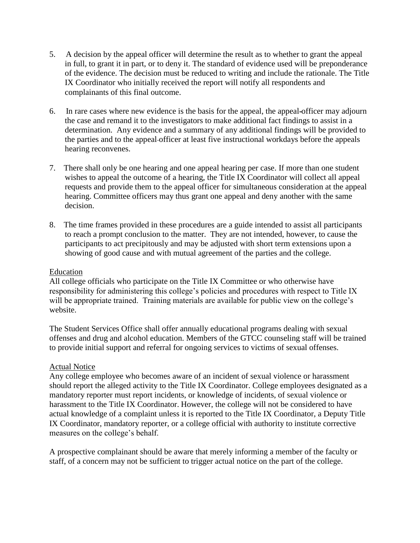- 5. A decision by the appeal officer will determine the result as to whether to grant the appeal in full, to grant it in part, or to deny it. The standard of evidence used will be preponderance of the evidence. The decision must be reduced to writing and include the rationale. The Title IX Coordinator who initially received the report will notify all respondents and complainants of this final outcome.
- 6. In rare cases where new evidence is the basis for the appeal, the appeal officer may adjourn the case and remand it to the investigators to make additional fact findings to assist in a determination. Any evidence and a summary of any additional findings will be provided to the parties and to the appeal officer at least five instructional workdays before the appeals hearing reconvenes.
- 7. There shall only be one hearing and one appeal hearing per case. If more than one student wishes to appeal the outcome of a hearing, the Title IX Coordinator will collect all appeal requests and provide them to the appeal officer for simultaneous consideration at the appeal hearing. Committee officers may thus grant one appeal and deny another with the same decision.
- 8. The time frames provided in these procedures are a guide intended to assist all participants to reach a prompt conclusion to the matter. They are not intended, however, to cause the participants to act precipitously and may be adjusted with short term extensions upon a showing of good cause and with mutual agreement of the parties and the college.

### Education

All college officials who participate on the Title IX Committee or who otherwise have responsibility for administering this college's policies and procedures with respect to Title IX will be appropriate trained. Training materials are available for public view on the college's website.

The Student Services Office shall offer annually educational programs dealing with sexual offenses and drug and alcohol education. Members of the GTCC counseling staff will be trained to provide initial support and referral for ongoing services to victims of sexual offenses.

#### Actual Notice

Any college employee who becomes aware of an incident of sexual violence or harassment should report the alleged activity to the Title IX Coordinator. College employees designated as a mandatory reporter must report incidents, or knowledge of incidents, of sexual violence or harassment to the Title IX Coordinator. However, the college will not be considered to have actual knowledge of a complaint unless it is reported to the Title IX Coordinator, a Deputy Title IX Coordinator, mandatory reporter, or a college official with authority to institute corrective measures on the college's behalf.

A prospective complainant should be aware that merely informing a member of the faculty or staff, of a concern may not be sufficient to trigger actual notice on the part of the college.